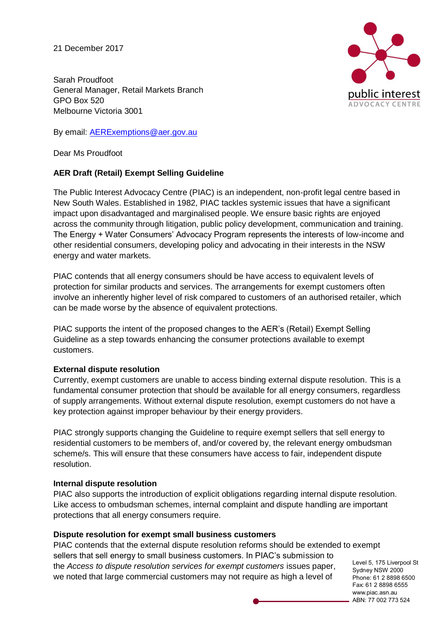21 December 2017

Sarah Proudfoot General Manager, Retail Markets Branch GPO Box 520 Melbourne Victoria 3001

By email: [AERExemptions@aer.gov.au](mailto:AERExemptions@aer.gov.au)

Dear Ms Proudfoot

## **AER Draft (Retail) Exempt Selling Guideline**

The Public Interest Advocacy Centre (PIAC) is an independent, non-profit legal centre based in New South Wales. Established in 1982, PIAC tackles systemic issues that have a significant impact upon disadvantaged and marginalised people. We ensure basic rights are enjoyed across the community through litigation, public policy development, communication and training. The Energy + Water Consumers' Advocacy Program represents the interests of low-income and other residential consumers, developing policy and advocating in their interests in the NSW energy and water markets.

PIAC contends that all energy consumers should be have access to equivalent levels of protection for similar products and services. The arrangements for exempt customers often involve an inherently higher level of risk compared to customers of an authorised retailer, which can be made worse by the absence of equivalent protections.

PIAC supports the intent of the proposed changes to the AER's (Retail) Exempt Selling Guideline as a step towards enhancing the consumer protections available to exempt customers.

## **External dispute resolution**

Currently, exempt customers are unable to access binding external dispute resolution. This is a fundamental consumer protection that should be available for all energy consumers, regardless of supply arrangements. Without external dispute resolution, exempt customers do not have a key protection against improper behaviour by their energy providers.

PIAC strongly supports changing the Guideline to require exempt sellers that sell energy to residential customers to be members of, and/or covered by, the relevant energy ombudsman scheme/s. This will ensure that these consumers have access to fair, independent dispute resolution.

## **Internal dispute resolution**

PIAC also supports the introduction of explicit obligations regarding internal dispute resolution. Like access to ombudsman schemes, internal complaint and dispute handling are important protections that all energy consumers require.

## **Dispute resolution for exempt small business customers**

PIAC contends that the external dispute resolution reforms should be extended to exempt sellers that sell energy to small business customers. In PIAC's submission to the *Access to dispute resolution services for exempt customers* issues paper, we noted that large commercial customers may not require as high a level of

Level 5, 175 Liverpool St Sydney NSW 2000 Phone: 61 2 8898 6500 Fax: 61 2 8898 6555 www.piac.asn.au ABN: 77 002 773 524

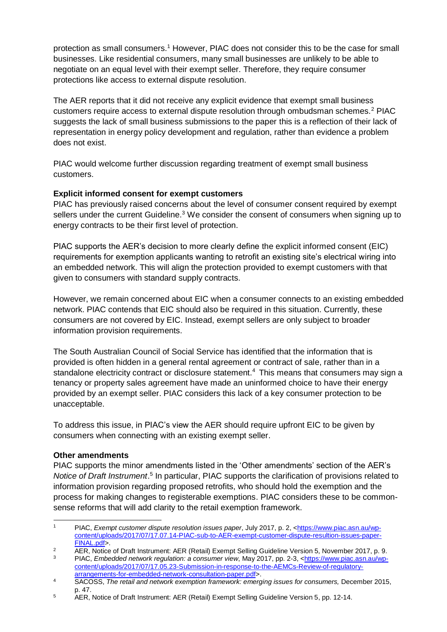protection as small consumers.<sup>1</sup> However, PIAC does not consider this to be the case for small businesses. Like residential consumers, many small businesses are unlikely to be able to negotiate on an equal level with their exempt seller. Therefore, they require consumer protections like access to external dispute resolution.

The AER reports that it did not receive any explicit evidence that exempt small business customers require access to external dispute resolution through ombudsman schemes.<sup>2</sup> PIAC suggests the lack of small business submissions to the paper this is a reflection of their lack of representation in energy policy development and regulation, rather than evidence a problem does not exist.

PIAC would welcome further discussion regarding treatment of exempt small business customers.

#### **Explicit informed consent for exempt customers**

PIAC has previously raised concerns about the level of consumer consent required by exempt sellers under the current Guideline.<sup>3</sup> We consider the consent of consumers when signing up to energy contracts to be their first level of protection.

PIAC supports the AER's decision to more clearly define the explicit informed consent (EIC) requirements for exemption applicants wanting to retrofit an existing site's electrical wiring into an embedded network. This will align the protection provided to exempt customers with that given to consumers with standard supply contracts.

However, we remain concerned about EIC when a consumer connects to an existing embedded network. PIAC contends that EIC should also be required in this situation. Currently, these consumers are not covered by EIC. Instead, exempt sellers are only subject to broader information provision requirements.

The South Australian Council of Social Service has identified that the information that is provided is often hidden in a general rental agreement or contract of sale, rather than in a standalone electricity contract or disclosure statement.<sup>4</sup> This means that consumers may sign a tenancy or property sales agreement have made an uninformed choice to have their energy provided by an exempt seller. PIAC considers this lack of a key consumer protection to be unacceptable.

To address this issue, in PIAC's view the AER should require upfront EIC to be given by consumers when connecting with an existing exempt seller.

#### **Other amendments**

PIAC supports the minor amendments listed in the 'Other amendments' section of the AER's Notice of Draft Instrument.<sup>5</sup> In particular, PIAC supports the clarification of provisions related to information provision regarding proposed retrofits, who should hold the exemption and the process for making changes to registerable exemptions. PIAC considers these to be commonsense reforms that will add clarity to the retail exemption framework.

 <sup>1</sup> PIAC, *Exempt customer dispute resolution issues paper*, July 2017, p. 2, [<https://www.piac.asn.au/wp](https://www.piac.asn.au/wp-content/uploads/2017/07/17.07.14-PIAC-sub-to-AER-exempt-customer-dispute-resultion-issues-paper-FINAL.pdf)[content/uploads/2017/07/17.07.14-PIAC-sub-to-AER-exempt-customer-dispute-resultion-issues-paper-](https://www.piac.asn.au/wp-content/uploads/2017/07/17.07.14-PIAC-sub-to-AER-exempt-customer-dispute-resultion-issues-paper-FINAL.pdf)[FINAL.pdf>](https://www.piac.asn.au/wp-content/uploads/2017/07/17.07.14-PIAC-sub-to-AER-exempt-customer-dispute-resultion-issues-paper-FINAL.pdf).

<sup>&</sup>lt;sup>2</sup> AER, Notice of Draft Instrument: AER (Retail) Exempt Selling Guideline Version 5, November 2017, p. 9.<br>PLAC, Exploration is a substitute that the consumer view May 2017, p. 2.2. a bitter (in usual) a see substitut

<sup>3</sup> PIAC, *Embedded network regulation: a consumer view*, May 2017, pp. 2-3, [<https://www.piac.asn.au/wp](https://www.piac.asn.au/wp-content/uploads/2017/07/17.05.23-Submission-in-response-to-the-AEMCs-Review-of-regulatory-arrangements-for-embedded-network-consultation-paper.pdf)[content/uploads/2017/07/17.05.23-Submission-in-response-to-the-AEMCs-Review-of-regulatory](https://www.piac.asn.au/wp-content/uploads/2017/07/17.05.23-Submission-in-response-to-the-AEMCs-Review-of-regulatory-arrangements-for-embedded-network-consultation-paper.pdf)[arrangements-for-embedded-network-consultation-paper.pdf>](https://www.piac.asn.au/wp-content/uploads/2017/07/17.05.23-Submission-in-response-to-the-AEMCs-Review-of-regulatory-arrangements-for-embedded-network-consultation-paper.pdf).

<sup>&</sup>lt;sup>4</sup> SACOSS, *The retail and network exemption framework: emerging issues for consumers, December 2015,* p. 47.

<sup>&</sup>lt;sup>5</sup> AER, Notice of Draft Instrument: AER (Retail) Exempt Selling Guideline Version 5, pp. 12-14.